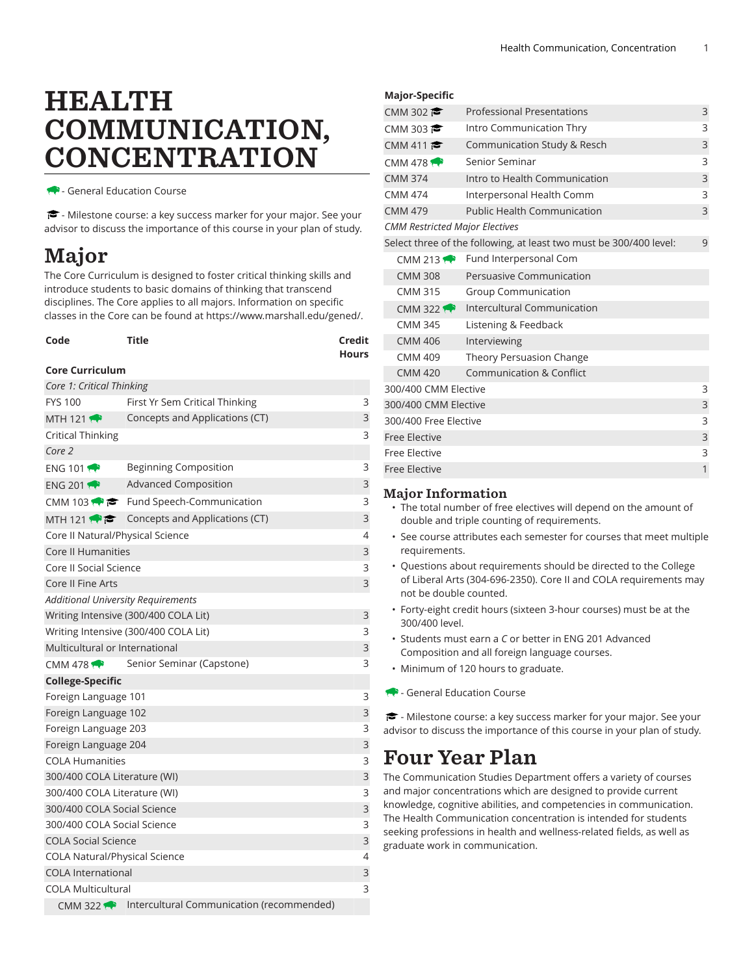# HEALTH COMMUNICATION, **CONCENTRATION**

- General Education Course

- Milestone course: a key success marker for your major. See your advisor to discuss the importance of this course in your plan of study.

## Major

The Core Curriculum is designed to foster critical thinking skills and introduce students to basic domains of thinking that transcend disciplines. The Core applies to all majors. Information on specific classes in the Core can be found at [https://www.marshall.edu/gened/.](https://www.marshall.edu/gened/)

| Code | <b>Title</b> | Credit       |
|------|--------------|--------------|
|      |              | <b>Hours</b> |

#### **Core Curriculum**

| Core 1: Critical Thinking            |                                                            |   |
|--------------------------------------|------------------------------------------------------------|---|
| <b>FYS 100</b>                       | First Yr Sem Critical Thinking                             | 3 |
| MTH 121 $\rightarrow$                | Concepts and Applications (CT)                             | 3 |
| <b>Critical Thinking</b>             |                                                            | 3 |
| Core 2                               |                                                            |   |
| ENG 101                              | <b>Beginning Composition</b>                               | 3 |
| <b>ENG 2011</b>                      | <b>Advanced Composition</b>                                | 3 |
|                                      | CMM 103 $\bullet \bullet$ Fund Speech-Communication        | 3 |
| MTH 121 $\rightarrow$ $\approx$      | Concepts and Applications (CT)                             | 3 |
| Core II Natural/Physical Science     |                                                            | 4 |
| <b>Core II Humanities</b>            |                                                            | 3 |
| Core II Social Science               |                                                            | 3 |
| Core II Fine Arts                    |                                                            | 3 |
|                                      | <b>Additional University Requirements</b>                  |   |
|                                      | Writing Intensive (300/400 COLA Lit)                       | 3 |
|                                      | Writing Intensive (300/400 COLA Lit)                       | 3 |
| Multicultural or International       |                                                            | 3 |
| CMM 478 $\bigoplus$                  | Senior Seminar (Capstone)                                  | 3 |
| <b>College-Specific</b>              |                                                            |   |
| Foreign Language 101                 |                                                            | 3 |
| Foreign Language 102                 |                                                            | 3 |
| Foreign Language 203                 |                                                            | 3 |
| Foreign Language 204                 |                                                            | 3 |
| <b>COLA Humanities</b>               |                                                            | 3 |
| 300/400 COLA Literature (WI)         |                                                            | 3 |
| 300/400 COLA Literature (WI)         |                                                            | 3 |
| 300/400 COLA Social Science          |                                                            | 3 |
| 300/400 COLA Social Science          |                                                            | 3 |
| <b>COLA Social Science</b>           |                                                            | 3 |
| <b>COLA Natural/Physical Science</b> |                                                            | 4 |
| <b>COLA International</b>            |                                                            | 3 |
| <b>COLA Multicultural</b>            |                                                            | 3 |
|                                      | CMM 322 <b>A</b> Intercultural Communication (recommended) |   |

#### **Major-Specific**

|                | CMM 302 $\approx$         | <b>Professional Presentations</b>                                  | 3 |
|----------------|---------------------------|--------------------------------------------------------------------|---|
|                | CMM 303                   | Intro Communication Thry                                           | 3 |
|                | CMM 411                   | Communication Study & Resch                                        | 3 |
|                | CMM 478 $\leftrightarrow$ | Senior Seminar                                                     | 3 |
| <b>CMM 374</b> |                           | Intro to Health Communication                                      | 3 |
| <b>CMM 474</b> |                           | Interpersonal Health Comm                                          | 3 |
| <b>CMM 479</b> |                           | <b>Public Health Communication</b>                                 | 3 |
|                |                           | <b>CMM Restricted Major Electives</b>                              |   |
|                |                           | Select three of the following, at least two must be 300/400 level: | 9 |
|                |                           | CMM 213 P Fund Interpersonal Com                                   |   |
|                | <b>CMM 308</b>            | Persuasive Communication                                           |   |
|                | <b>CMM 315</b>            | <b>Group Communication</b>                                         |   |
|                | $CMM$ 322                 | Intercultural Communication                                        |   |
|                | <b>CMM 345</b>            | Listening & Feedback                                               |   |
|                | <b>CMM 406</b>            | Interviewing                                                       |   |
|                | <b>CMM 409</b>            | Theory Persuasion Change                                           |   |
|                | <b>CMM 420</b>            | Communication & Conflict                                           |   |
|                | 300/400 CMM Elective      |                                                                    | 3 |
|                | 300/400 CMM Elective      |                                                                    | 3 |
|                | 300/400 Free Elective     |                                                                    | 3 |
|                | <b>Free Elective</b>      |                                                                    | 3 |
|                | <b>Free Elective</b>      |                                                                    | 3 |
|                | <b>Free Elective</b>      |                                                                    | 1 |

#### Major Information

- The total number of free electives will depend on the amount of double and triple counting of requirements.
- See course attributes each semester for courses that meet multiple requirements.
- Questions about requirements should be directed to the College of Liberal Arts (304-696-2350). Core II and COLA requirements may not be double counted.
- Forty-eight credit hours (sixteen 3-hour courses) must be at the 300/400 level.
- Students must earn a *C* or better in ENG 201 Advanced Composition and all foreign language courses.
- Minimum of 120 hours to graduate.
- General Education Course

- Milestone course: a key success marker for your major. See your advisor to discuss the importance of this course in your plan of study.

### Four Year Plan

The Communication Studies Department offers a variety of courses and major concentrations which are designed to provide current knowledge, cognitive abilities, and competencies in communication. The Health Communication concentration is intended for students seeking professions in health and wellness-related fields, as well as graduate work in communication.